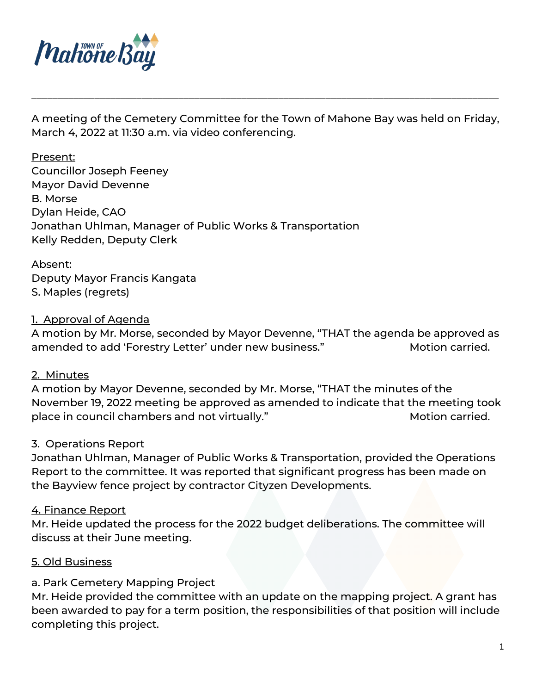

A meeting of the Cemetery Committee for the Town of Mahone Bay was held on Friday, March 4, 2022 at 11:30 a.m. via video conferencing.

\_\_\_\_\_\_\_\_\_\_\_\_\_\_\_\_\_\_\_\_\_\_\_\_\_\_\_\_\_\_\_\_\_\_\_\_\_\_\_\_\_\_\_\_\_\_\_\_\_\_\_\_\_\_\_\_\_\_\_\_\_\_\_\_\_\_\_\_\_\_\_\_\_\_\_\_\_\_\_\_\_\_\_\_\_\_\_\_\_

Present: Councillor Joseph Feeney Mayor David Devenne B. Morse Dylan Heide, CAO Jonathan Uhlman, Manager of Public Works & Transportation Kelly Redden, Deputy Clerk

Absent: Deputy Mayor Francis Kangata S. Maples (regrets)

## 1. Approval of Agenda

A motion by Mr. Morse, seconded by Mayor Devenne, "THAT the agenda be approved as amended to add 'Forestry Letter' under new business." Motion carried.

## 2. Minutes

A motion by Mayor Devenne, seconded by Mr. Morse, "THAT the minutes of the November 19, 2022 meeting be approved as amended to indicate that the meeting took place in council chambers and not virtually." Motion carried.

## 3. Operations Report

Jonathan Uhlman, Manager of Public Works & Transportation, provided the Operations Report to the committee. It was reported that significant progress has been made on the Bayview fence project by contractor Cityzen Developments.

## 4. Finance Report

Mr. Heide updated the process for the 2022 budget deliberations. The committee will discuss at their June meeting.

## 5. Old Business

# a. Park Cemetery Mapping Project

Mr. Heide provided the committee with an update on the mapping project. A grant has been awarded to pay for a term position, the responsibilities of that position will include completing this project.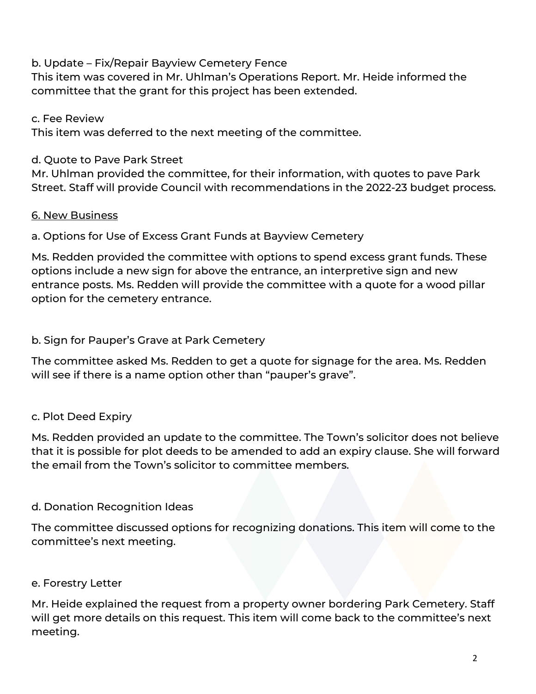## b. Update – Fix/Repair Bayview Cemetery Fence

This item was covered in Mr. Uhlman's Operations Report. Mr. Heide informed the committee that the grant for this project has been extended.

c. Fee Review

This item was deferred to the next meeting of the committee.

## d. Quote to Pave Park Street

Mr. Uhlman provided the committee, for their information, with quotes to pave Park Street. Staff will provide Council with recommendations in the 2022-23 budget process.

# 6. New Business

a. Options for Use of Excess Grant Funds at Bayview Cemetery

Ms. Redden provided the committee with options to spend excess grant funds. These options include a new sign for above the entrance, an interpretive sign and new entrance posts. Ms. Redden will provide the committee with a quote for a wood pillar option for the cemetery entrance.

b. Sign for Pauper's Grave at Park Cemetery

The committee asked Ms. Redden to get a quote for signage for the area. Ms. Redden will see if there is a name option other than "pauper's grave".

# c. Plot Deed Expiry

Ms. Redden provided an update to the committee. The Town's solicitor does not believe that it is possible for plot deeds to be amended to add an expiry clause. She will forward the email from the Town's solicitor to committee members.

# d. Donation Recognition Ideas

The committee discussed options for recognizing donations. This item will come to the committee's next meeting.

# e. Forestry Letter

Mr. Heide explained the request from a property owner bordering Park Cemetery. Staff will get more details on this request. This item will come back to the committee's next meeting.